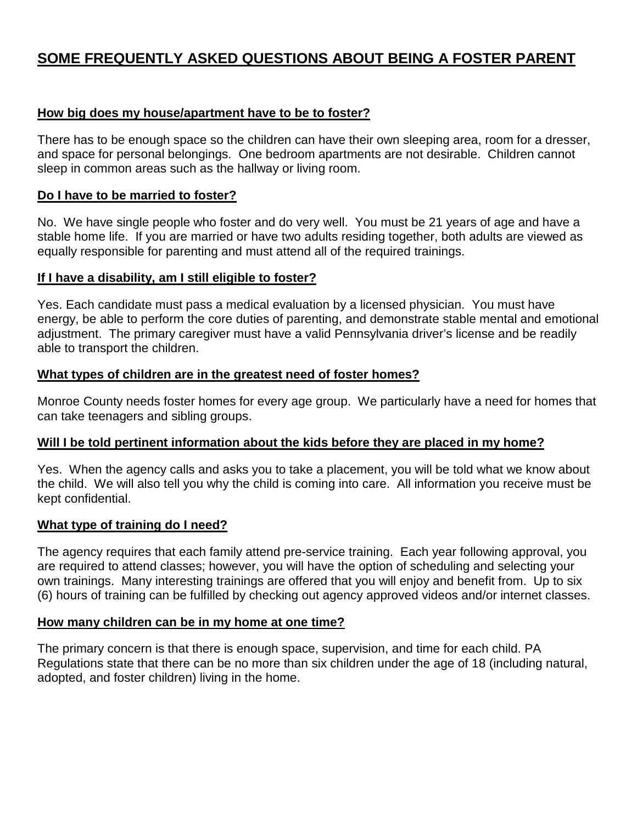# **SOME FREQUENTLY ASKED QUESTIONS ABOUT BEING A FOSTER PARENT**

#### **How big does my house/apartment have to be to foster?**

There has to be enough space so the children can have their own sleeping area, room for a dresser, and space for personal belongings. One bedroom apartments are not desirable. Children cannot sleep in common areas such as the hallway or living room.

#### **Do I have to be married to foster?**

No. We have single people who foster and do very well. You must be 21 years of age and have a stable home life. If you are married or have two adults residing together, both adults are viewed as equally responsible for parenting and must attend all of the required trainings.

#### **If I have a disability, am I still eligible to foster?**

Yes. Each candidate must pass a medical evaluation by a licensed physician. You must have energy, be able to perform the core duties of parenting, and demonstrate stable mental and emotional adjustment. The primary caregiver must have a valid Pennsylvania driver's license and be readily able to transport the children.

#### **What types of children are in the greatest need of foster homes?**

Monroe County needs foster homes for every age group. We particularly have a need for homes that can take teenagers and sibling groups.

#### **Will I be told pertinent information about the kids before they are placed in my home?**

Yes. When the agency calls and asks you to take a placement, you will be told what we know about the child. We will also tell you why the child is coming into care. All information you receive must be kept confidential.

#### **What type of training do I need?**

The agency requires that each family attend pre-service training. Each year following approval, you are required to attend classes; however, you will have the option of scheduling and selecting your own trainings. Many interesting trainings are offered that you will enjoy and benefit from. Up to six (6) hours of training can be fulfilled by checking out agency approved videos and/or internet classes.

#### **How many children can be in my home at one time?**

The primary concern is that there is enough space, supervision, and time for each child. PA Regulations state that there can be no more than six children under the age of 18 (including natural, adopted, and foster children) living in the home.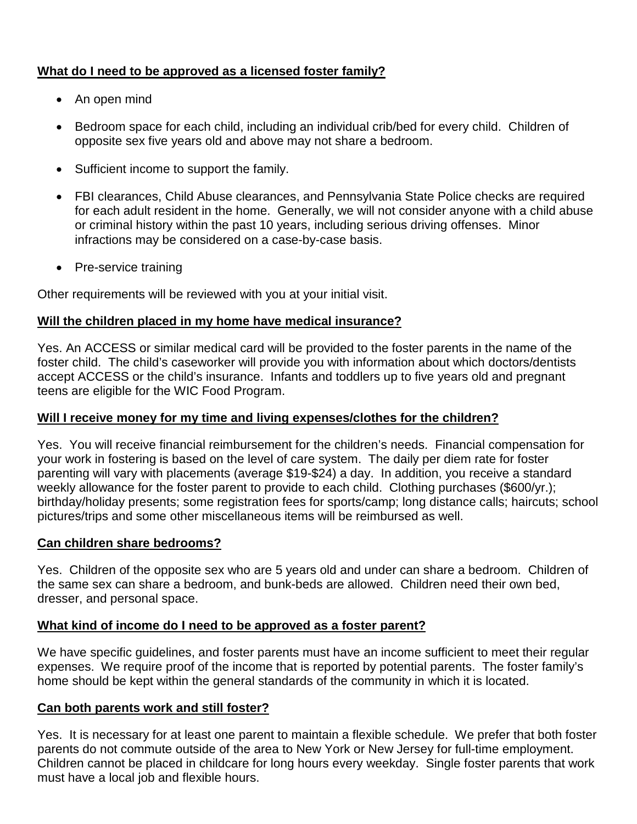# **What do I need to be approved as a licensed foster family?**

- An open mind
- Bedroom space for each child, including an individual crib/bed for every child. Children of opposite sex five years old and above may not share a bedroom.
- Sufficient income to support the family.
- FBI clearances, Child Abuse clearances, and Pennsylvania State Police checks are required for each adult resident in the home. Generally, we will not consider anyone with a child abuse or criminal history within the past 10 years, including serious driving offenses. Minor infractions may be considered on a case-by-case basis.
- Pre-service training

Other requirements will be reviewed with you at your initial visit.

# **Will the children placed in my home have medical insurance?**

Yes. An ACCESS or similar medical card will be provided to the foster parents in the name of the foster child. The child's caseworker will provide you with information about which doctors/dentists accept ACCESS or the child's insurance. Infants and toddlers up to five years old and pregnant teens are eligible for the WIC Food Program.

### **Will I receive money for my time and living expenses/clothes for the children?**

Yes. You will receive financial reimbursement for the children's needs. Financial compensation for your work in fostering is based on the level of care system. The daily per diem rate for foster parenting will vary with placements (average \$19-\$24) a day. In addition, you receive a standard weekly allowance for the foster parent to provide to each child. Clothing purchases (\$600/yr.); birthday/holiday presents; some registration fees for sports/camp; long distance calls; haircuts; school pictures/trips and some other miscellaneous items will be reimbursed as well.

# **Can children share bedrooms?**

Yes. Children of the opposite sex who are 5 years old and under can share a bedroom. Children of the same sex can share a bedroom, and bunk-beds are allowed. Children need their own bed, dresser, and personal space.

# **What kind of income do I need to be approved as a foster parent?**

We have specific guidelines, and foster parents must have an income sufficient to meet their regular expenses. We require proof of the income that is reported by potential parents. The foster family's home should be kept within the general standards of the community in which it is located.

# **Can both parents work and still foster?**

Yes. It is necessary for at least one parent to maintain a flexible schedule. We prefer that both foster parents do not commute outside of the area to New York or New Jersey for full-time employment. Children cannot be placed in childcare for long hours every weekday. Single foster parents that work must have a local job and flexible hours.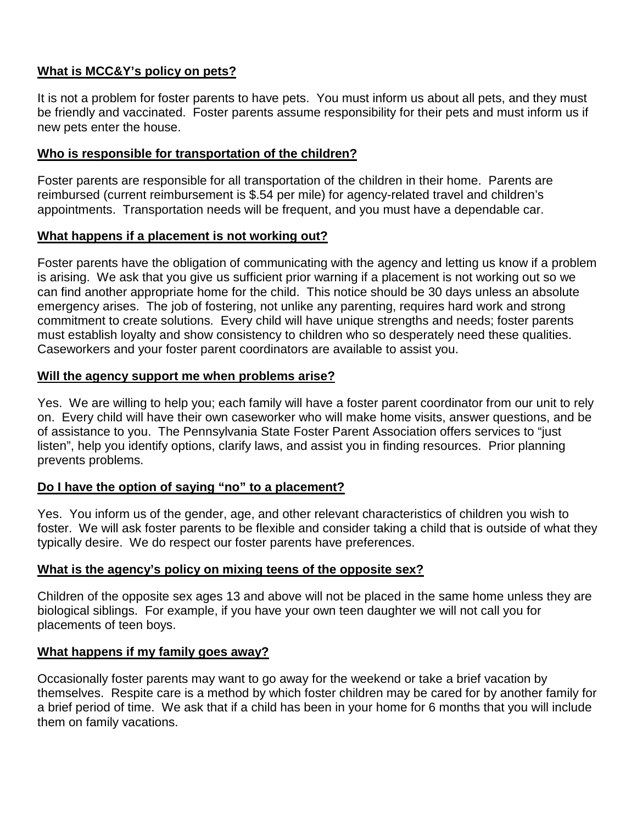# **What is MCC&Y's policy on pets?**

It is not a problem for foster parents to have pets. You must inform us about all pets, and they must be friendly and vaccinated. Foster parents assume responsibility for their pets and must inform us if new pets enter the house.

### **Who is responsible for transportation of the children?**

Foster parents are responsible for all transportation of the children in their home. Parents are reimbursed (current reimbursement is \$.54 per mile) for agency-related travel and children's appointments. Transportation needs will be frequent, and you must have a dependable car.

### **What happens if a placement is not working out?**

Foster parents have the obligation of communicating with the agency and letting us know if a problem is arising. We ask that you give us sufficient prior warning if a placement is not working out so we can find another appropriate home for the child. This notice should be 30 days unless an absolute emergency arises. The job of fostering, not unlike any parenting, requires hard work and strong commitment to create solutions. Every child will have unique strengths and needs; foster parents must establish loyalty and show consistency to children who so desperately need these qualities. Caseworkers and your foster parent coordinators are available to assist you.

### **Will the agency support me when problems arise?**

Yes. We are willing to help you; each family will have a foster parent coordinator from our unit to rely on. Every child will have their own caseworker who will make home visits, answer questions, and be of assistance to you. The Pennsylvania State Foster Parent Association offers services to "just listen", help you identify options, clarify laws, and assist you in finding resources. Prior planning prevents problems.

#### **Do I have the option of saying "no" to a placement?**

Yes. You inform us of the gender, age, and other relevant characteristics of children you wish to foster. We will ask foster parents to be flexible and consider taking a child that is outside of what they typically desire. We do respect our foster parents have preferences.

# **What is the agency's policy on mixing teens of the opposite sex?**

Children of the opposite sex ages 13 and above will not be placed in the same home unless they are biological siblings. For example, if you have your own teen daughter we will not call you for placements of teen boys.

# **What happens if my family goes away?**

Occasionally foster parents may want to go away for the weekend or take a brief vacation by themselves. Respite care is a method by which foster children may be cared for by another family for a brief period of time. We ask that if a child has been in your home for 6 months that you will include them on family vacations.